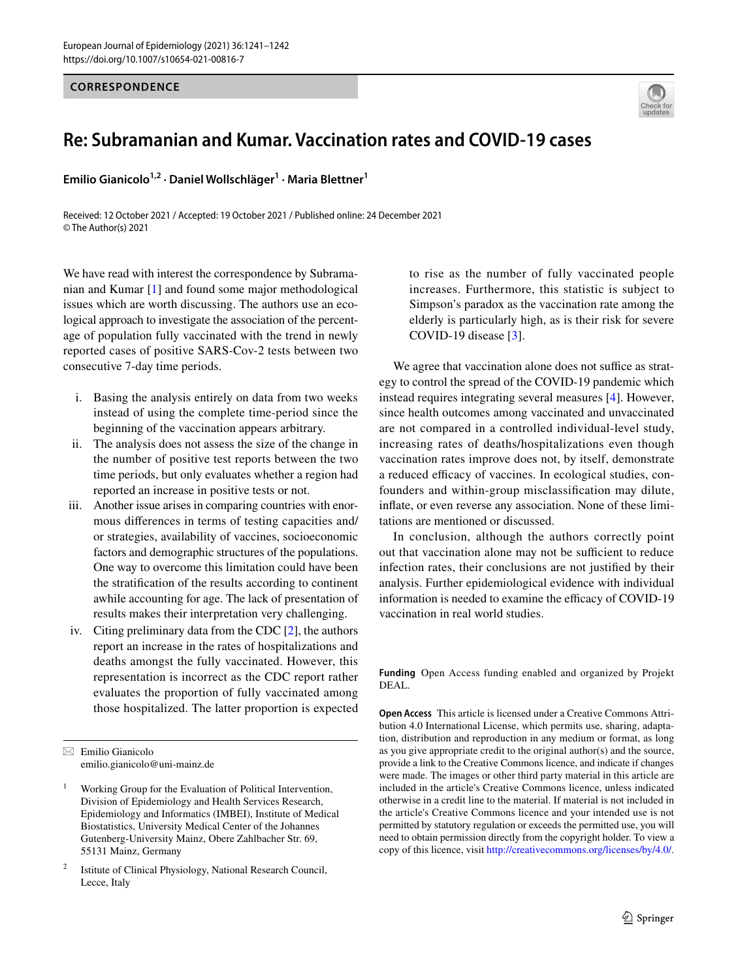## **CORRESPONDENCE**



## **Re: Subramanian and Kumar. Vaccination rates and COVID‑19 cases**

**Emilio Gianicolo1,2 · Daniel Wollschläger1 · Maria Blettner1**

Received: 12 October 2021 / Accepted: 19 October 2021 / Published online: 24 December 2021 © The Author(s) 2021

We have read with interest the correspondence by Subramanian and Kumar [\[1](#page-1-0)] and found some major methodological issues which are worth discussing. The authors use an ecological approach to investigate the association of the percentage of population fully vaccinated with the trend in newly reported cases of positive SARS-Cov-2 tests between two consecutive 7-day time periods.

- i. Basing the analysis entirely on data from two weeks instead of using the complete time-period since the beginning of the vaccination appears arbitrary.
- ii. The analysis does not assess the size of the change in the number of positive test reports between the two time periods, but only evaluates whether a region had reported an increase in positive tests or not.
- iii. Another issue arises in comparing countries with enormous diferences in terms of testing capacities and/ or strategies, availability of vaccines, socioeconomic factors and demographic structures of the populations. One way to overcome this limitation could have been the stratifcation of the results according to continent awhile accounting for age. The lack of presentation of results makes their interpretation very challenging.
- iv. Citing preliminary data from the CDC [\[2](#page-1-1)], the authors report an increase in the rates of hospitalizations and deaths amongst the fully vaccinated. However, this representation is incorrect as the CDC report rather evaluates the proportion of fully vaccinated among those hospitalized. The latter proportion is expected

to rise as the number of fully vaccinated people increases. Furthermore, this statistic is subject to Simpson's paradox as the vaccination rate among the elderly is particularly high, as is their risk for severe COVID-19 disease [[3](#page-1-2)].

We agree that vaccination alone does not suffice as strategy to control the spread of the COVID-19 pandemic which instead requires integrating several measures [\[4](#page-1-3)]. However, since health outcomes among vaccinated and unvaccinated are not compared in a controlled individual-level study, increasing rates of deaths/hospitalizations even though vaccination rates improve does not, by itself, demonstrate a reduced efficacy of vaccines. In ecological studies, confounders and within-group misclassifcation may dilute, infate, or even reverse any association. None of these limitations are mentioned or discussed.

In conclusion, although the authors correctly point out that vaccination alone may not be sufficient to reduce infection rates, their conclusions are not justifed by their analysis. Further epidemiological evidence with individual information is needed to examine the efficacy of COVID-19 vaccination in real world studies.

**Funding** Open Access funding enabled and organized by Projekt DEAL.

**Open Access** This article is licensed under a Creative Commons Attribution 4.0 International License, which permits use, sharing, adaptation, distribution and reproduction in any medium or format, as long as you give appropriate credit to the original author(s) and the source, provide a link to the Creative Commons licence, and indicate if changes were made. The images or other third party material in this article are included in the article's Creative Commons licence, unless indicated otherwise in a credit line to the material. If material is not included in the article's Creative Commons licence and your intended use is not permitted by statutory regulation or exceeds the permitted use, you will need to obtain permission directly from the copyright holder. To view a copy of this licence, visit<http://creativecommons.org/licenses/by/4.0/>.

 $\boxtimes$  Emilio Gianicolo emilio.gianicolo@uni-mainz.de

<sup>1</sup> Working Group for the Evaluation of Political Intervention, Division of Epidemiology and Health Services Research, Epidemiology and Informatics (IMBEI), Institute of Medical Biostatistics, University Medical Center of the Johannes Gutenberg-University Mainz, Obere Zahlbacher Str. 69, 55131 Mainz, Germany

Istitute of Clinical Physiology, National Research Council, Lecce, Italy